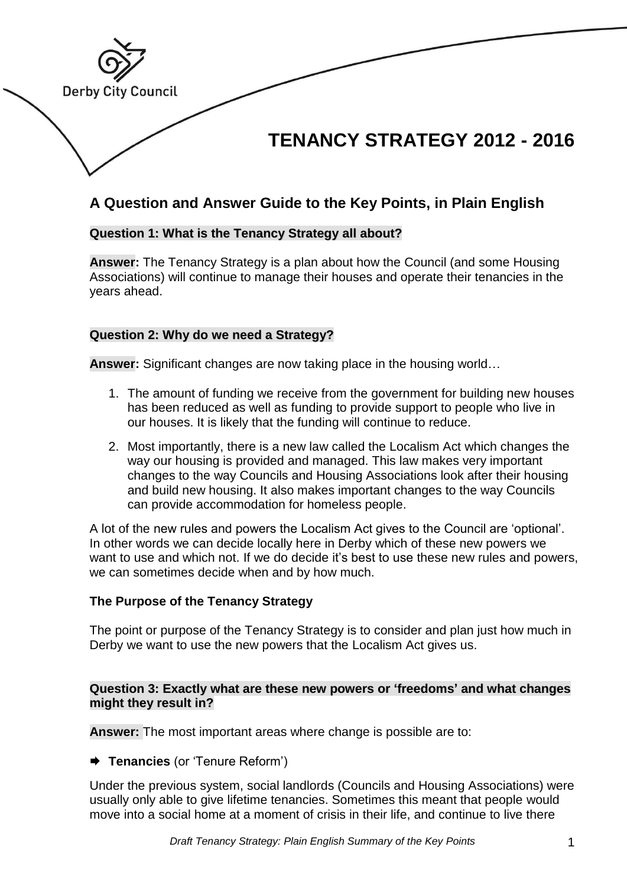

# **A Question and Answer Guide to the Key Points, in Plain English**

# **Question 1: What is the Tenancy Strategy all about?**

**Answer:** The Tenancy Strategy is a plan about how the Council (and some Housing Associations) will continue to manage their houses and operate their tenancies in the years ahead.

# **Question 2: Why do we need a Strategy?**

**Answer:** Significant changes are now taking place in the housing world…

- 1. The amount of funding we receive from the government for building new houses has been reduced as well as funding to provide support to people who live in our houses. It is likely that the funding will continue to reduce.
- 2. Most importantly, there is a new law called the Localism Act which changes the way our housing is provided and managed. This law makes very important changes to the way Councils and Housing Associations look after their housing and build new housing. It also makes important changes to the way Councils can provide accommodation for homeless people.

A lot of the new rules and powers the Localism Act gives to the Council are 'optional'. In other words we can decide locally here in Derby which of these new powers we want to use and which not. If we do decide it's best to use these new rules and powers, we can sometimes decide when and by how much.

## **The Purpose of the Tenancy Strategy**

The point or purpose of the Tenancy Strategy is to consider and plan just how much in Derby we want to use the new powers that the Localism Act gives us.

## **Question 3: Exactly what are these new powers or 'freedoms' and what changes might they result in?**

**Answer:** The most important areas where change is possible are to:

**Tenancies** (or 'Tenure Reform')

Under the previous system, social landlords (Councils and Housing Associations) were usually only able to give lifetime tenancies. Sometimes this meant that people would move into a social home at a moment of crisis in their life, and continue to live there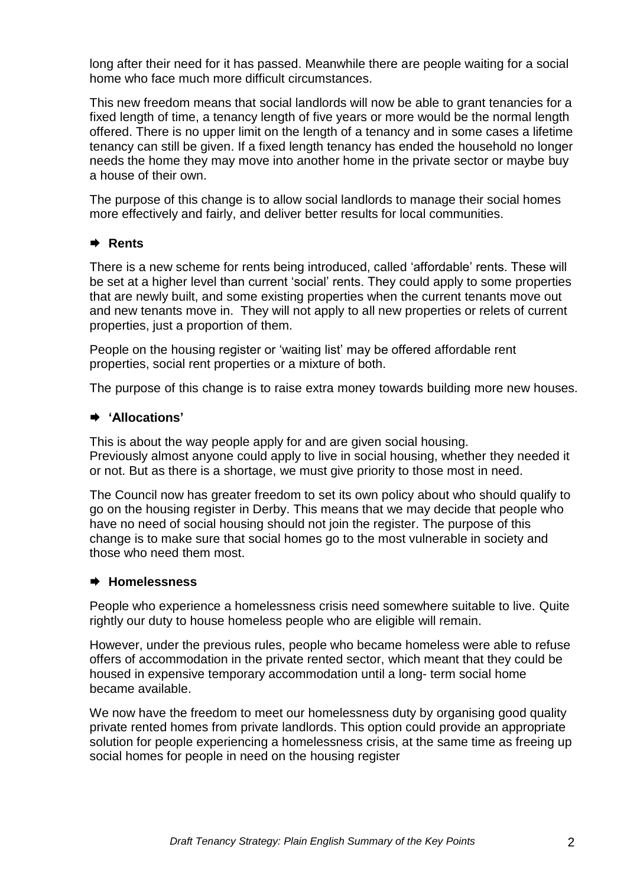long after their need for it has passed. Meanwhile there are people waiting for a social home who face much more difficult circumstances.

This new freedom means that social landlords will now be able to grant tenancies for a fixed length of time, a tenancy length of five years or more would be the normal length offered. There is no upper limit on the length of a tenancy and in some cases a lifetime tenancy can still be given. If a fixed length tenancy has ended the household no longer needs the home they may move into another home in the private sector or maybe buy a house of their own.

The purpose of this change is to allow social landlords to manage their social homes more effectively and fairly, and deliver better results for local communities.

## **Rents**

There is a new scheme for rents being introduced, called 'affordable' rents. These will be set at a higher level than current 'social' rents. They could apply to some properties that are newly built, and some existing properties when the current tenants move out and new tenants move in. They will not apply to all new properties or relets of current properties, just a proportion of them.

People on the housing register or 'waiting list' may be offered affordable rent properties, social rent properties or a mixture of both.

The purpose of this change is to raise extra money towards building more new houses.

#### **'Allocations'**

This is about the way people apply for and are given social housing. Previously almost anyone could apply to live in social housing, whether they needed it or not. But as there is a shortage, we must give priority to those most in need.

The Council now has greater freedom to set its own policy about who should qualify to go on the housing register in Derby. This means that we may decide that people who have no need of social housing should not join the register. The purpose of this change is to make sure that social homes go to the most vulnerable in society and those who need them most.

#### **Homelessness**

People who experience a homelessness crisis need somewhere suitable to live. Quite rightly our duty to house homeless people who are eligible will remain.

However, under the previous rules, people who became homeless were able to refuse offers of accommodation in the private rented sector, which meant that they could be housed in expensive temporary accommodation until a long- term social home became available.

We now have the freedom to meet our homelessness duty by organising good quality private rented homes from private landlords. This option could provide an appropriate solution for people experiencing a homelessness crisis, at the same time as freeing up social homes for people in need on the housing register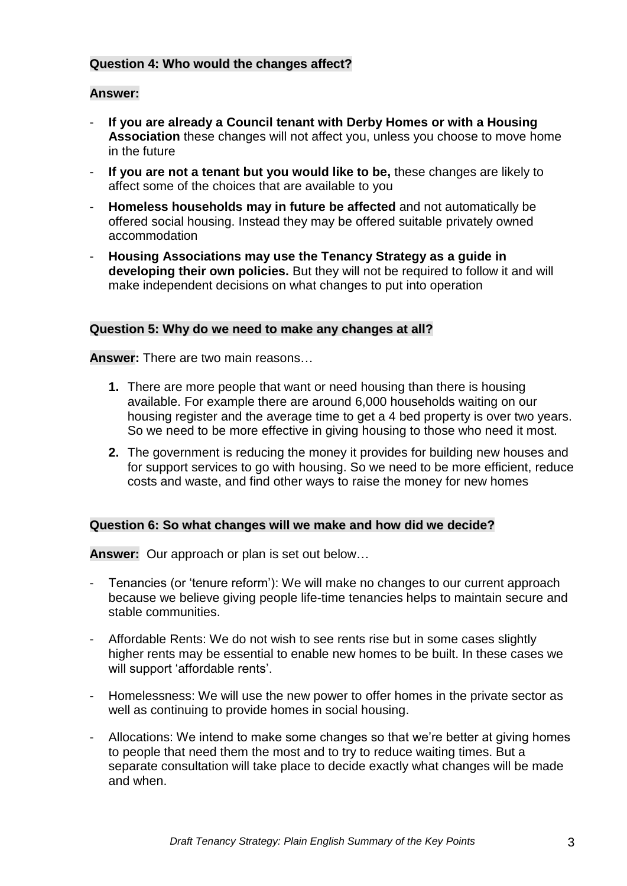# **Question 4: Who would the changes affect?**

### **Answer:**

- **If you are already a Council tenant with Derby Homes or with a Housing Association** these changes will not affect you, unless you choose to move home in the future
- **If you are not a tenant but you would like to be,** these changes are likely to affect some of the choices that are available to you
- **Homeless households may in future be affected** and not automatically be offered social housing. Instead they may be offered suitable privately owned accommodation
- **Housing Associations may use the Tenancy Strategy as a guide in developing their own policies.** But they will not be required to follow it and will make independent decisions on what changes to put into operation

### **Question 5: Why do we need to make any changes at all?**

**Answer:** There are two main reasons…

- **1.** There are more people that want or need housing than there is housing available. For example there are around 6,000 households waiting on our housing register and the average time to get a 4 bed property is over two years. So we need to be more effective in giving housing to those who need it most.
- **2.** The government is reducing the money it provides for building new houses and for support services to go with housing. So we need to be more efficient, reduce costs and waste, and find other ways to raise the money for new homes

#### **Question 6: So what changes will we make and how did we decide?**

**Answer:** Our approach or plan is set out below…

- Tenancies (or 'tenure reform'): We will make no changes to our current approach because we believe giving people life-time tenancies helps to maintain secure and stable communities.
- Affordable Rents: We do not wish to see rents rise but in some cases slightly higher rents may be essential to enable new homes to be built. In these cases we will support 'affordable rents'.
- Homelessness: We will use the new power to offer homes in the private sector as well as continuing to provide homes in social housing.
- Allocations: We intend to make some changes so that we're better at giving homes to people that need them the most and to try to reduce waiting times. But a separate consultation will take place to decide exactly what changes will be made and when.